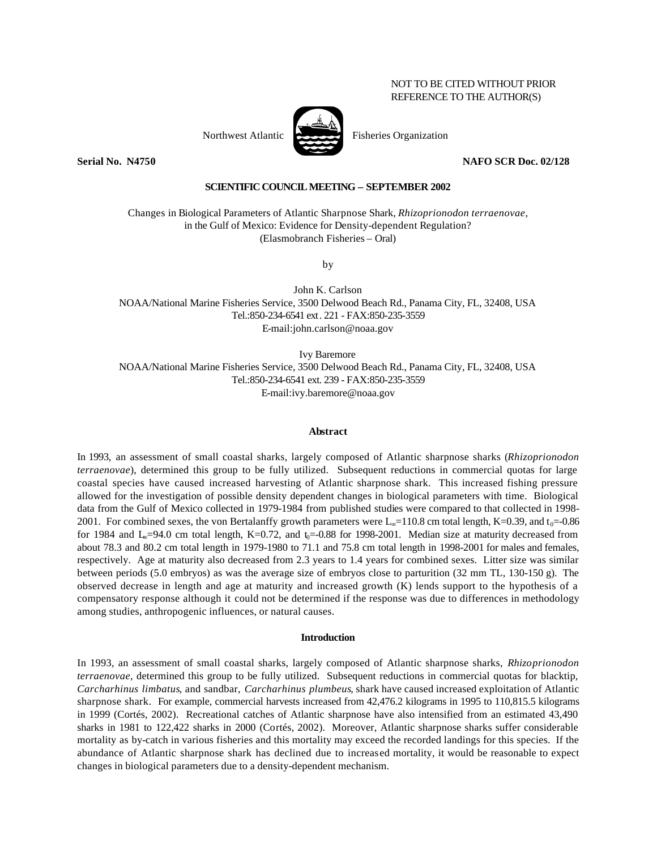# NOT TO BE CITED WITHOUT PRIOR REFERENCE TO THE AUTHOR(S)



**Serial No. N4750 NAFO SCR Doc. 02/128**

## **SCIENTIFIC COUNCIL MEETING – SEPTEMBER 2002**

Changes in Biological Parameters of Atlantic Sharpnose Shark, *Rhizoprionodon terraenovae*, in the Gulf of Mexico: Evidence for Density-dependent Regulation? (Elasmobranch Fisheries – Oral)

by

John K. Carlson NOAA/National Marine Fisheries Service, 3500 Delwood Beach Rd., Panama City, FL, 32408, USA Tel.:850-234-6541 ext. 221 - FAX:850-235-3559 E-mail:john.carlson@noaa.gov

Ivy Baremore NOAA/National Marine Fisheries Service, 3500 Delwood Beach Rd., Panama City, FL, 32408, USA Tel.:850-234-6541 ext. 239 - FAX:850-235-3559 E-mail:ivy.baremore@noaa.gov

### **Abstract**

In 1993, an assessment of small coastal sharks, largely composed of Atlantic sharpnose sharks (*Rhizoprionodon terraenovae*), determined this group to be fully utilized. Subsequent reductions in commercial quotas for large coastal species have caused increased harvesting of Atlantic sharpnose shark. This increased fishing pressure allowed for the investigation of possible density dependent changes in biological parameters with time. Biological data from the Gulf of Mexico collected in 1979-1984 from published studies were compared to that collected in 1998- 2001. For combined sexes, the von Bertalanffy growth parameters were L<sub>∞</sub>=110.8 cm total length, K=0.39, and t<sub>0</sub>=-0.86 for 1984 and  $L_0$ =94.0 cm total length, K=0.72, and  $t_0$ =-0.88 for 1998-2001. Median size at maturity decreased from about 78.3 and 80.2 cm total length in 1979-1980 to 71.1 and 75.8 cm total length in 1998-2001 for males and females, respectively. Age at maturity also decreased from 2.3 years to 1.4 years for combined sexes. Litter size was similar between periods (5.0 embryos) as was the average size of embryos close to parturition (32 mm TL, 130-150 g). The observed decrease in length and age at maturity and increased growth (K) lends support to the hypothesis of a compensatory response although it could not be determined if the response was due to differences in methodology among studies, anthropogenic influences, or natural causes.

## **Introduction**

In 1993, an assessment of small coastal sharks, largely composed of Atlantic sharpnose sharks, *Rhizoprionodon terraenovae*, determined this group to be fully utilized. Subsequent reductions in commercial quotas for blacktip, *Carcharhinus limbatus*, and sandbar, *Carcharhinus plumbeus*, shark have caused increased exploitation of Atlantic sharpnose shark. For example, commercial harvests increased from 42,476.2 kilograms in 1995 to 110,815.5 kilograms in 1999 (Cortés, 2002). Recreational catches of Atlantic sharpnose have also intensified from an estimated 43,490 sharks in 1981 to 122,422 sharks in 2000 (Cortés, 2002). Moreover, Atlantic sharpnose sharks suffer considerable mortality as by-catch in various fisheries and this mortality may exceed the recorded landings for this species. If the abundance of Atlantic sharpnose shark has declined due to increased mortality, it would be reasonable to expect changes in biological parameters due to a density-dependent mechanism.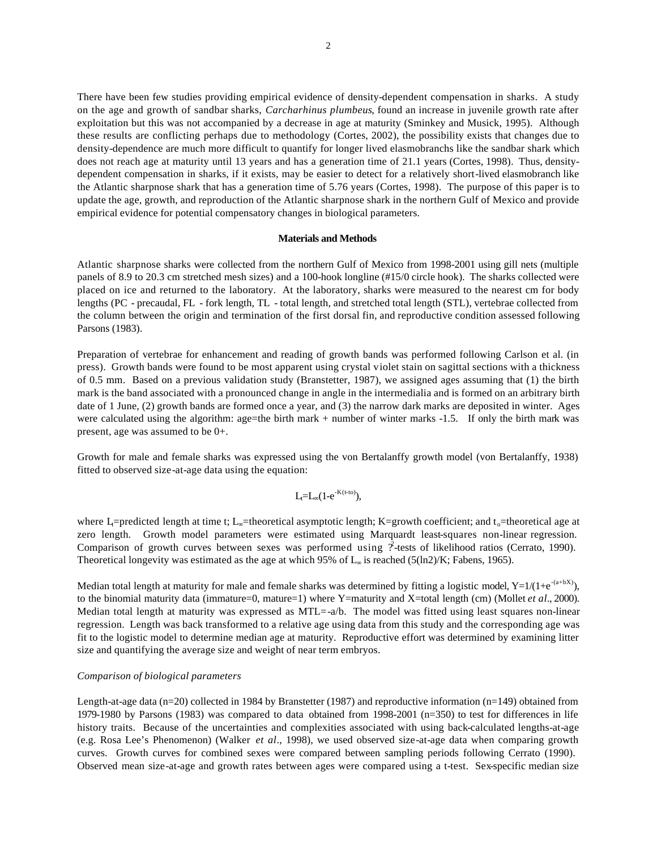There have been few studies providing empirical evidence of density-dependent compensation in sharks. A study on the age and growth of sandbar sharks, *Carcharhinus plumbeus*, found an increase in juvenile growth rate after exploitation but this was not accompanied by a decrease in age at maturity (Sminkey and Musick, 1995). Although these results are conflicting perhaps due to methodology (Cortes, 2002), the possibility exists that changes due to density-dependence are much more difficult to quantify for longer lived elasmobranchs like the sandbar shark which does not reach age at maturity until 13 years and has a generation time of 21.1 years (Cortes, 1998). Thus, densitydependent compensation in sharks, if it exists, may be easier to detect for a relatively short-lived elasmobranch like the Atlantic sharpnose shark that has a generation time of 5.76 years (Cortes, 1998). The purpose of this paper is to update the age, growth, and reproduction of the Atlantic sharpnose shark in the northern Gulf of Mexico and provide empirical evidence for potential compensatory changes in biological parameters.

### **Materials and Methods**

Atlantic sharpnose sharks were collected from the northern Gulf of Mexico from 1998-2001 using gill nets (multiple panels of 8.9 to 20.3 cm stretched mesh sizes) and a 100-hook longline (#15/0 circle hook). The sharks collected were placed on ice and returned to the laboratory. At the laboratory, sharks were measured to the nearest cm for body lengths (PC - precaudal, FL - fork length, TL - total length, and stretched total length (STL), vertebrae collected from the column between the origin and termination of the first dorsal fin, and reproductive condition assessed following Parsons (1983).

Preparation of vertebrae for enhancement and reading of growth bands was performed following Carlson et al. (in press). Growth bands were found to be most apparent using crystal violet stain on sagittal sections with a thickness of 0.5 mm. Based on a previous validation study (Branstetter, 1987), we assigned ages assuming that (1) the birth mark is the band associated with a pronounced change in angle in the intermedialia and is formed on an arbitrary birth date of 1 June, (2) growth bands are formed once a year, and (3) the narrow dark marks are deposited in winter. Ages were calculated using the algorithm: age=the birth mark + number of winter marks -1.5. If only the birth mark was present, age was assumed to be 0+.

Growth for male and female sharks was expressed using the von Bertalanffy growth model (von Bertalanffy, 1938) fitted to observed size-at-age data using the equation:

$$
L_t\!\!=\!\!L_\mathrm{\!o}(1\text{-}e^{\text{-}K(t\text{-}t\mathrm{o})}),
$$

where L<sub>t</sub>=predicted length at time t; L<sub>∞</sub>=theoretical asymptotic length; K=growth coefficient; and t<sub>o</sub>=theoretical age at zero length. Growth model parameters were estimated using Marquardt least-squares non-linear regression. Comparison of growth curves between sexes was performed using  $\hat{r}$ -tests of likelihood ratios (Cerrato, 1990). Theoretical longevity was estimated as the age at which 95% of L∞ is reached (5(ln2)/K; Fabens, 1965).

Median total length at maturity for male and female sharks was determined by fitting a logistic model,  $Y=1/(1+e^{-(a+bX)})$ , to the binomial maturity data (immature=0, mature=1) where Y=maturity and X=total length (cm) (Mollet *et al.*, 2000). Median total length at maturity was expressed as MTL=-a/b. The model was fitted using least squares non-linear regression. Length was back transformed to a relative age using data from this study and the corresponding age was fit to the logistic model to determine median age at maturity. Reproductive effort was determined by examining litter size and quantifying the average size and weight of near term embryos.

#### *Comparison of biological parameters*

Length-at-age data (n=20) collected in 1984 by Branstetter (1987) and reproductive information (n=149) obtained from 1979-1980 by Parsons (1983) was compared to data obtained from 1998-2001 (n=350) to test for differences in life history traits. Because of the uncertainties and complexities associated with using back-calculated lengths-at-age (e.g. Rosa Lee's Phenomenon) (Walker *et al*., 1998), we used observed size-at-age data when comparing growth curves. Growth curves for combined sexes were compared between sampling periods following Cerrato (1990). Observed mean size-at-age and growth rates between ages were compared using a t-test. Sex-specific median size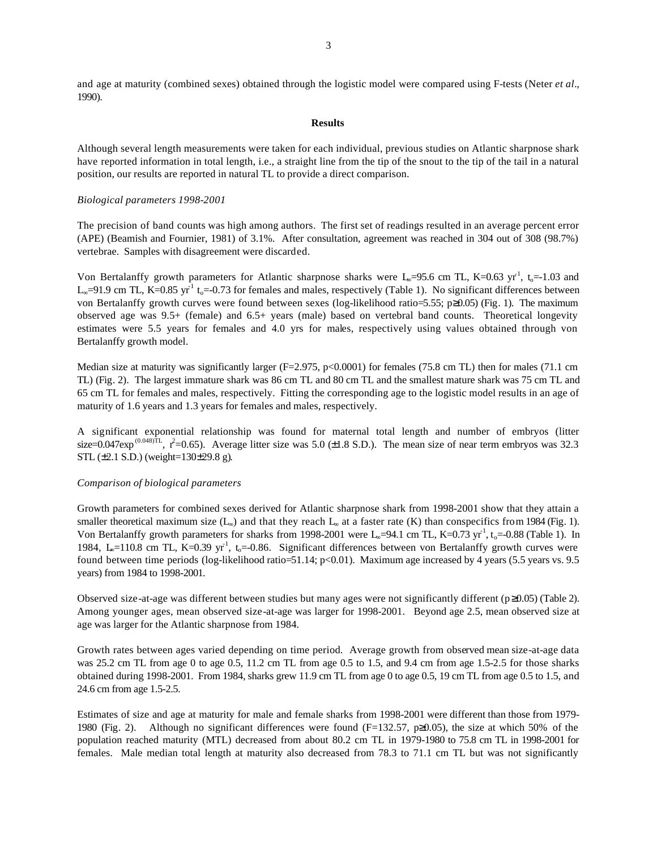and age at maturity (combined sexes) obtained through the logistic model were compared using F-tests (Neter *et al*., 1990).

## **Results**

Although several length measurements were taken for each individual, previous studies on Atlantic sharpnose shark have reported information in total length, i.e., a straight line from the tip of the snout to the tip of the tail in a natural position, our results are reported in natural TL to provide a direct comparison.

## *Biological parameters 1998-2001*

The precision of band counts was high among authors. The first set of readings resulted in an average percent error (APE) (Beamish and Fournier, 1981) of 3.1%. After consultation, agreement was reached in 304 out of 308 (98.7%) vertebrae. Samples with disagreement were discarded.

Von Bertalanffy growth parameters for Atlantic sharpnose sharks were  $L_0$ =95.6 cm TL, K=0.63 yr<sup>1</sup>, t<sub>0</sub>=-1.03 and L<sub>∞</sub>=91.9 cm TL, K=0.85 yr<sup>1</sup> t<sub>o</sub>=-0.73 for females and males, respectively (Table 1). No significant differences between von Bertalanffy growth curves were found between sexes (log-likelihood ratio=5.55; p≥0.05) (Fig. 1). The maximum observed age was 9.5+ (female) and 6.5+ years (male) based on vertebral band counts. Theoretical longevity estimates were 5.5 years for females and 4.0 yrs for males, respectively using values obtained through von Bertalanffy growth model.

Median size at maturity was significantly larger  $(F=2.975, p<0.0001)$  for females (75.8 cm TL) then for males (71.1 cm TL) (Fig. 2). The largest immature shark was 86 cm TL and 80 cm TL and the smallest mature shark was 75 cm TL and 65 cm TL for females and males, respectively. Fitting the corresponding age to the logistic model results in an age of maturity of 1.6 years and 1.3 years for females and males, respectively.

A significant exponential relationship was found for maternal total length and number of embryos (litter size=0.047exp<sup>(0.048)TL</sup>,  $r^2$ =0.65). Average litter size was 5.0 (±1.8 S.D.). The mean size of near term embryos was 32.3 STL (±2.1 S.D.) (weight=130±29.8 g).

### *Comparison of biological parameters*

Growth parameters for combined sexes derived for Atlantic sharpnose shark from 1998-2001 show that they attain a smaller theoretical maximum size  $(L_*)$  and that they reach  $L_*$  at a faster rate  $(K)$  than conspecifics from 1984 (Fig. 1). Von Bertalanffy growth parameters for sharks from 1998-2001 were  $L_0$ =94.1 cm TL, K=0.73 yr<sup>-1</sup>, t<sub>0</sub>=-0.88 (Table 1). In 1984, L<sub>∞</sub>=110.8 cm TL, K=0.39 yr<sup>1</sup>, t<sub>o</sub>=-0.86. Significant differences between von Bertalanffy growth curves were found between time periods (log-likelihood ratio=51.14;  $p<0.01$ ). Maximum age increased by 4 years (5.5 years vs. 9.5 years) from 1984 to 1998-2001.

Observed size-at-age was different between studies but many ages were not significantly different (p≥0.05) (Table 2). Among younger ages, mean observed size-at-age was larger for 1998-2001. Beyond age 2.5, mean observed size at age was larger for the Atlantic sharpnose from 1984.

Growth rates between ages varied depending on time period. Average growth from observed mean size-at-age data was 25.2 cm TL from age 0 to age 0.5, 11.2 cm TL from age 0.5 to 1.5, and 9.4 cm from age 1.5-2.5 for those sharks obtained during 1998-2001. From 1984, sharks grew 11.9 cm TL from age 0 to age 0.5, 19 cm TL from age 0.5 to 1.5, and 24.6 cm from age 1.5-2.5.

Estimates of size and age at maturity for male and female sharks from 1998-2001 were different than those from 1979- 1980 (Fig. 2). Although no significant differences were found (F=132.57, p≥0.05), the size at which 50% of the population reached maturity (MTL) decreased from about 80.2 cm TL in 1979-1980 to 75.8 cm TL in 1998-2001 for females. Male median total length at maturity also decreased from 78.3 to 71.1 cm TL but was not significantly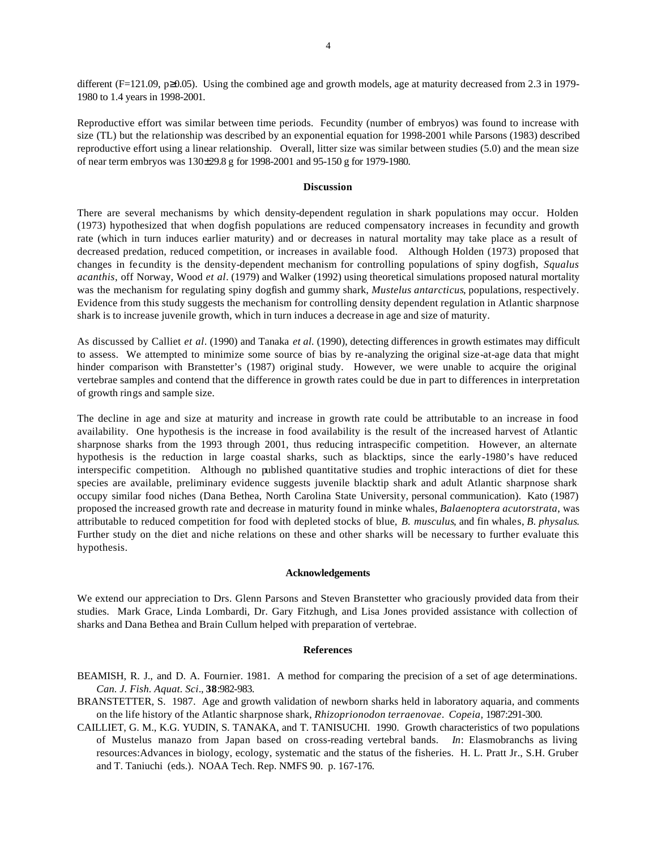different (F=121.09, p≥0.05). Using the combined age and growth models, age at maturity decreased from 2.3 in 1979- 1980 to 1.4 years in 1998-2001.

Reproductive effort was similar between time periods. Fecundity (number of embryos) was found to increase with size (TL) but the relationship was described by an exponential equation for 1998-2001 while Parsons (1983) described reproductive effort using a linear relationship. Overall, litter size was similar between studies (5.0) and the mean size of near term embryos was 130±29.8 g for 1998-2001 and 95-150 g for 1979-1980.

### **Discussion**

There are several mechanisms by which density-dependent regulation in shark populations may occur. Holden (1973) hypothesized that when dogfish populations are reduced compensatory increases in fecundity and growth rate (which in turn induces earlier maturity) and or decreases in natural mortality may take place as a result of decreased predation, reduced competition, or increases in available food. Although Holden (1973) proposed that changes in fecundity is the density-dependent mechanism for controlling populations of spiny dogfish, *Squalus acanthis*, off Norway, Wood *et al*. (1979) and Walker (1992) using theoretical simulations proposed natural mortality was the mechanism for regulating spiny dogfish and gummy shark, *Mustelus antarcticus*, populations, respectively. Evidence from this study suggests the mechanism for controlling density dependent regulation in Atlantic sharpnose shark is to increase juvenile growth, which in turn induces a decrease in age and size of maturity.

As discussed by Calliet *et al*. (1990) and Tanaka *et al.* (1990), detecting differences in growth estimates may difficult to assess. We attempted to minimize some source of bias by re-analyzing the original size-at-age data that might hinder comparison with Branstetter's (1987) original study. However, we were unable to acquire the original vertebrae samples and contend that the difference in growth rates could be due in part to differences in interpretation of growth rings and sample size.

The decline in age and size at maturity and increase in growth rate could be attributable to an increase in food availability. One hypothesis is the increase in food availability is the result of the increased harvest of Atlantic sharpnose sharks from the 1993 through 2001, thus reducing intraspecific competition. However, an alternate hypothesis is the reduction in large coastal sharks, such as blacktips, since the early-1980's have reduced interspecific competition. Although no published quantitative studies and trophic interactions of diet for these species are available, preliminary evidence suggests juvenile blacktip shark and adult Atlantic sharpnose shark occupy similar food niches (Dana Bethea, North Carolina State University, personal communication). Kato (1987) proposed the increased growth rate and decrease in maturity found in minke whales, *Balaenoptera acutorstrata*, was attributable to reduced competition for food with depleted stocks of blue, *B. musculus*, and fin whales, *B. physalus*. Further study on the diet and niche relations on these and other sharks will be necessary to further evaluate this hypothesis.

#### **Acknowledgements**

We extend our appreciation to Drs. Glenn Parsons and Steven Branstetter who graciously provided data from their studies. Mark Grace, Linda Lombardi, Dr. Gary Fitzhugh, and Lisa Jones provided assistance with collection of sharks and Dana Bethea and Brain Cullum helped with preparation of vertebrae.

#### **References**

BEAMISH, R. J., and D. A. Fournier. 1981. A method for comparing the precision of a set of age determinations. *Can. J. Fish. Aquat. Sci*., **38**:982-983.

- BRANSTETTER, S. 1987. Age and growth validation of newborn sharks held in laboratory aquaria, and comments on the life history of the Atlantic sharpnose shark, *Rhizoprionodon terraenovae*. *Copeia,* 1987:291-300.
- CAILLIET, G. M., K.G. YUDIN, S. TANAKA, and T. TANISUCHI. 1990. Growth characteristics of two populations of Mustelus manazo from Japan based on cross-reading vertebral bands. *In*: Elasmobranchs as living resources:Advances in biology, ecology, systematic and the status of the fisheries. H. L. Pratt Jr., S.H. Gruber and T. Taniuchi (eds.). NOAA Tech. Rep. NMFS 90. p. 167-176.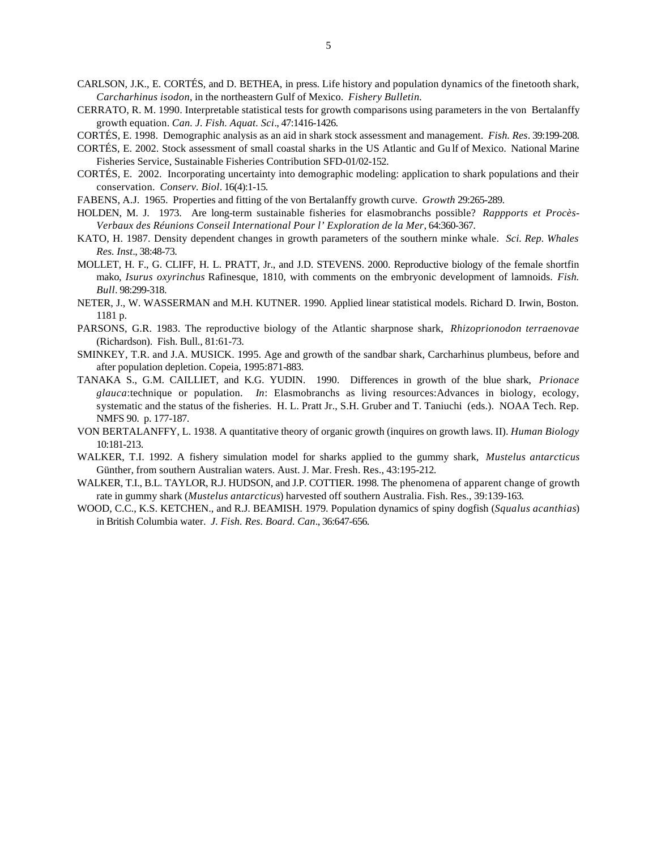- CARLSON, J.K., E. CORTÉS, and D. BETHEA, in press. Life history and population dynamics of the finetooth shark, *Carcharhinus isodon*, in the northeastern Gulf of Mexico. *Fishery Bulletin.*
- CERRATO, R. M. 1990. Interpretable statistical tests for growth comparisons using parameters in the von Bertalanffy growth equation. *Can. J. Fish. Aquat. Sci*., 47:1416-1426.
- CORTÉS, E. 1998. Demographic analysis as an aid in shark stock assessment and management. *Fish. Res*. 39:199-208.
- CORTÉS, E. 2002. Stock assessment of small coastal sharks in the US Atlantic and Gu lf of Mexico. National Marine Fisheries Service, Sustainable Fisheries Contribution SFD-01/02-152.
- CORTÉS, E. 2002. Incorporating uncertainty into demographic modeling: application to shark populations and their conservation. *Conserv. Biol*. 16(4):1-15.
- FABENS, A.J. 1965. Properties and fitting of the von Bertalanffy growth curve. *Growth* 29:265-289.
- HOLDEN, M. J. 1973. Are long-term sustainable fisheries for elasmobranchs possible? *Rappports et Procès-Verbaux des Réunions Conseil International Pour l' Exploration de la Mer*, 64:360-367.
- KATO, H. 1987. Density dependent changes in growth parameters of the southern minke whale. *Sci. Rep. Whales Res. Inst*., 38:48-73.
- MOLLET, H. F., G. CLIFF, H. L. PRATT, Jr., and J.D. STEVENS. 2000. Reproductive biology of the female shortfin mako, *Isurus oxyrinchus* Rafinesque, 1810, with comments on the embryonic development of lamnoids. *Fish. Bull*. 98:299-318.
- NETER, J., W. WASSERMAN and M.H. KUTNER. 1990. Applied linear statistical models. Richard D. Irwin, Boston. 1181 p.
- PARSONS, G.R. 1983. The reproductive biology of the Atlantic sharpnose shark, *Rhizoprionodon terraenovae* (Richardson). Fish. Bull., 81:61-73.
- SMINKEY, T.R. and J.A. MUSICK. 1995. Age and growth of the sandbar shark, Carcharhinus plumbeus, before and after population depletion. Copeia, 1995:871-883.
- TANAKA S., G.M. CAILLIET, and K.G. YUDIN. 1990. Differences in growth of the blue shark, *Prionace glauca*:technique or population. *In*: Elasmobranchs as living resources:Advances in biology, ecology, systematic and the status of the fisheries. H. L. Pratt Jr., S.H. Gruber and T. Taniuchi (eds.). NOAA Tech. Rep. NMFS 90. p. 177-187.
- VON BERTALANFFY, L. 1938. A quantitative theory of organic growth (inquires on growth laws. II). *Human Biology* 10:181-213.
- WALKER, T.I. 1992. A fishery simulation model for sharks applied to the gummy shark, *Mustelus antarcticus* Günther, from southern Australian waters. Aust. J. Mar. Fresh. Res., 43:195-212.
- WALKER, T.I., B.L. TAYLOR, R.J. HUDSON, and J.P. COTTIER. 1998. The phenomena of apparent change of growth rate in gummy shark (*Mustelus antarcticus*) harvested off southern Australia. Fish. Res., 39:139-163.
- WOOD, C.C., K.S. KETCHEN., and R.J. BEAMISH. 1979. Population dynamics of spiny dogfish (*Squalus acanthias*) in British Columbia water. *J. Fish. Res. Board. Can*., 36:647-656.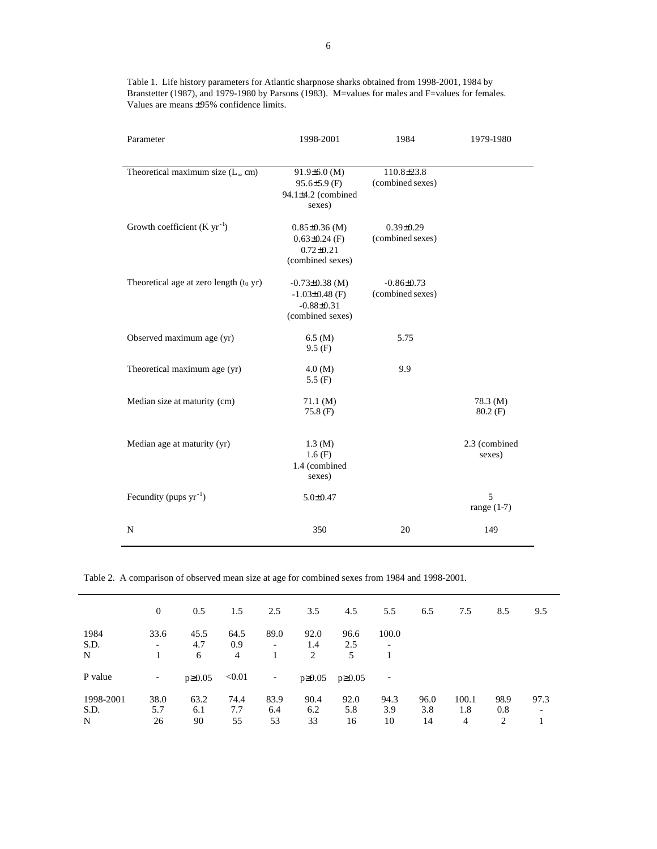| Parameter                                  | 1998-2001           | 1984             | 1979-1980     |  |  |
|--------------------------------------------|---------------------|------------------|---------------|--|--|
|                                            |                     |                  |               |  |  |
| Theoretical maximum size $(L_{\infty}$ cm) | $91.9\pm 6.0$ (M)   | 110.8±23.8       |               |  |  |
|                                            | $95.6 \pm 5.9$ (F)  | (combined sexes) |               |  |  |
|                                            | 94.1±4.2 (combined  |                  |               |  |  |
|                                            | sexes)              |                  |               |  |  |
| Growth coefficient $(K yr^{-1})$           | $0.85 \pm 0.36$ (M) | $0.39 \pm 0.29$  |               |  |  |
|                                            | $0.63 \pm 0.24$ (F) | (combined sexes) |               |  |  |
|                                            | $0.72 \pm 0.21$     |                  |               |  |  |
|                                            | (combined sexes)    |                  |               |  |  |
| Theoretical age at zero length $(t_0$ yr)  | $-0.73\pm0.38$ (M)  | $-0.86 \pm 0.73$ |               |  |  |
|                                            | $-1.03\pm0.48$ (F)  | (combined sexes) |               |  |  |
|                                            | $-0.88 \pm 0.31$    |                  |               |  |  |
|                                            | (combined sexes)    |                  |               |  |  |
| Observed maximum age (yr)                  | 6.5(M)              | 5.75             |               |  |  |
|                                            | 9.5(F)              |                  |               |  |  |
| Theoretical maximum age (yr)               | 4.0 (M)             | 9.9              |               |  |  |
|                                            | 5.5 $(F)$           |                  |               |  |  |
| Median size at maturity (cm)               | $71.1 \; (M)$       |                  | 78.3 (M)      |  |  |
|                                            | $75.8$ (F)          |                  | $80.2$ (F)    |  |  |
|                                            |                     |                  |               |  |  |
| Median age at maturity (yr)                | 1.3(M)              |                  | 2.3 (combined |  |  |
|                                            | 1.6(F)              |                  | sexes)        |  |  |
|                                            | 1.4 (combined       |                  |               |  |  |
|                                            | sexes)              |                  |               |  |  |
| Fecundity (pups $yr^{-1}$ )                | $5.0 \pm 0.47$      |                  | 5             |  |  |
|                                            |                     |                  | range $(1-7)$ |  |  |
| N                                          | 350                 | 20               | 149           |  |  |
|                                            |                     |                  |               |  |  |

Table 1. Life history parameters for Atlantic sharpnose sharks obtained from 1998-2001, 1984 by Branstetter (1987), and 1979-1980 by Parsons (1983). M=values for males and F=values for females. Values are means ±95% confidence limits.

Table 2. A comparison of observed mean size at age for combined sexes from 1984 and 1998-2001.

|           | $\theta$                 | $0.5^{\circ}$ | 1.5    | 2.5                      | 3.5          | 4.5          | 5.5                      | 6.5  | 7.5   | 8.5  | 9.5  |
|-----------|--------------------------|---------------|--------|--------------------------|--------------|--------------|--------------------------|------|-------|------|------|
| 1984      | 33.6                     | 45.5          | 64.5   | 89.0                     | 92.0         | 96.6         | 100.0                    |      |       |      |      |
| S.D.      | $\overline{\phantom{a}}$ | 4.7           | 0.9    | $\overline{\phantom{0}}$ | 1.4          | 2.5          | $\overline{\phantom{a}}$ |      |       |      |      |
| N         |                          | 6             | 4      |                          | 2            | 5            |                          |      |       |      |      |
|           |                          |               |        |                          |              |              |                          |      |       |      |      |
| P value   | $\overline{\phantom{a}}$ | $p\geq 0.05$  | < 0.01 | -                        | $p\geq 0.05$ | $p\geq 0.05$ | $\overline{\phantom{a}}$ |      |       |      |      |
|           |                          |               |        |                          |              |              |                          |      |       |      |      |
| 1998-2001 | 38.0                     | 63.2          | 74.4   | 83.9                     | 90.4         | 92.0         | 94.3                     | 96.0 | 100.1 | 98.9 | 97.3 |
| S.D.      | 5.7                      | 6.1           | 7.7    | 6.4                      | 6.2          | 5.8          | 3.9                      | 3.8  | 1.8   | 0.8  | -    |
| N         | 26                       | 90            | 55     | 53                       | 33           | 16           | 10                       | 14   | 4     | 2    |      |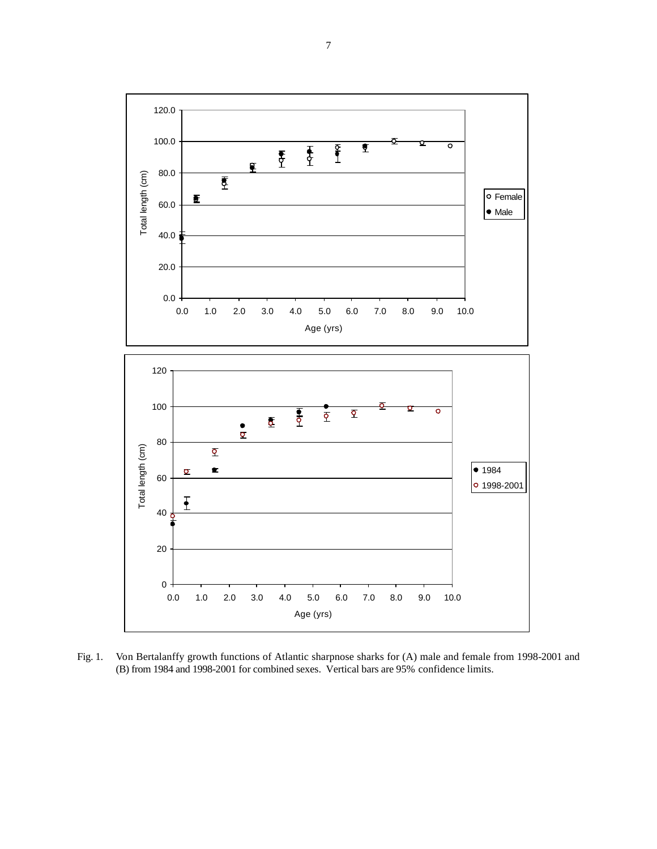

Fig. 1. Von Bertalanffy growth functions of Atlantic sharpnose sharks for (A) male and female from 1998-2001 and (B) from 1984 and 1998-2001 for combined sexes. Vertical bars are 95% confidence limits.